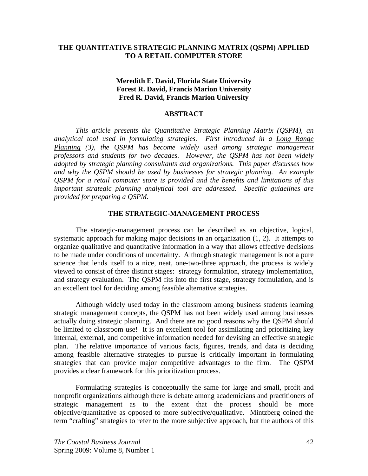## **THE QUANTITATIVE STRATEGIC PLANNING MATRIX (QSPM) APPLIED TO A RETAIL COMPUTER STORE**

## **Meredith E. David, Florida State University Forest R. David, Francis Marion University Fred R. David, Francis Marion University**

## **ABSTRACT**

*This article presents the Quantitative Strategic Planning Matrix (QSPM), an analytical tool used in formulating strategies. First introduced in a Long Range Planning (3), the QSPM has become widely used among strategic management professors and students for two decades. However, the QSPM has not been widely adopted by strategic planning consultants and organizations. This paper discusses how and why the QSPM should be used by businesses for strategic planning. An example QSPM for a retail computer store is provided and the benefits and limitations of this important strategic planning analytical tool are addressed. Specific guidelines are provided for preparing a QSPM.* 

## **THE STRATEGIC-MANAGEMENT PROCESS**

 The strategic-management process can be described as an objective, logical, systematic approach for making major decisions in an organization (1, 2). It attempts to organize qualitative and quantitative information in a way that allows effective decisions to be made under conditions of uncertainty. Although strategic management is not a pure science that lends itself to a nice, neat, one-two-three approach, the process is widely viewed to consist of three distinct stages: strategy formulation, strategy implementation, and strategy evaluation. The QSPM fits into the first stage, strategy formulation, and is an excellent tool for deciding among feasible alternative strategies.

 Although widely used today in the classroom among business students learning strategic management concepts, the QSPM has not been widely used among businesses actually doing strategic planning. And there are no good reasons why the QSPM should be limited to classroom use! It is an excellent tool for assimilating and prioritizing key internal, external, and competitive information needed for devising an effective strategic plan. The relative importance of various facts, figures, trends, and data is deciding among feasible alternative strategies to pursue is critically important in formulating strategies that can provide major competitive advantages to the firm. The QSPM provides a clear framework for this prioritization process.

 Formulating strategies is conceptually the same for large and small, profit and nonprofit organizations although there is debate among academicians and practitioners of strategic management as to the extent that the process should be more objective/quantitative as opposed to more subjective/qualitative. Mintzberg coined the term "crafting" strategies to refer to the more subjective approach, but the authors of this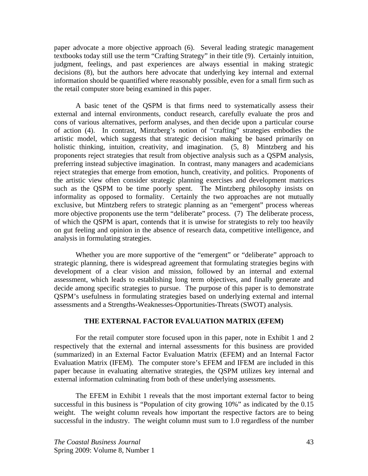paper advocate a more objective approach (6). Several leading strategic management textbooks today still use the term "Crafting Strategy" in their title (9). Certainly intuition, judgment, feelings, and past experiences are always essential in making strategic decisions (8), but the authors here advocate that underlying key internal and external information should be quantified where reasonably possible, even for a small firm such as the retail computer store being examined in this paper.

 A basic tenet of the QSPM is that firms need to systematically assess their external and internal environments, conduct research, carefully evaluate the pros and cons of various alternatives, perform analyses, and then decide upon a particular course of action (4). In contrast, Mintzberg's notion of "crafting" strategies embodies the artistic model, which suggests that strategic decision making be based primarily on holistic thinking, intuition, creativity, and imagination. (5, 8) Mintzberg and his proponents reject strategies that result from objective analysis such as a QSPM analysis, preferring instead subjective imagination. In contrast, many managers and academicians reject strategies that emerge from emotion, hunch, creativity, and politics. Proponents of the artistic view often consider strategic planning exercises and development matrices such as the QSPM to be time poorly spent. The Mintzberg philosophy insists on informality as opposed to formality. Certainly the two approaches are not mutually exclusive, but Mintzberg refers to strategic planning as an "emergent" process whereas more objective proponents use the term "deliberate" process. (7) The deliberate process, of which the QSPM is apart, contends that it is unwise for strategists to rely too heavily on gut feeling and opinion in the absence of research data, competitive intelligence, and analysis in formulating strategies.

Whether you are more supportive of the "emergent" or "deliberate" approach to strategic planning, there is widespread agreement that formulating strategies begins with development of a clear vision and mission, followed by an internal and external assessment, which leads to establishing long term objectives, and finally generate and decide among specific strategies to pursue. The purpose of this paper is to demonstrate QSPM's usefulness in formulating strategies based on underlying external and internal assessments and a Strengths-Weaknesses-Opportunities-Threats (SWOT) analysis.

## **THE EXTERNAL FACTOR EVALUATION MATRIX (EFEM)**

 For the retail computer store focused upon in this paper, note in Exhibit 1 and 2 respectively that the external and internal assessments for this business are provided (summarized) in an External Factor Evaluation Matrix (EFEM) and an Internal Factor Evaluation Matrix (IFEM). The computer store's EFEM and IFEM are included in this paper because in evaluating alternative strategies, the QSPM utilizes key internal and external information culminating from both of these underlying assessments.

 The EFEM in Exhibit 1 reveals that the most important external factor to being successful in this business is "Population of city growing 10%" as indicated by the 0.15 weight. The weight column reveals how important the respective factors are to being successful in the industry. The weight column must sum to 1.0 regardless of the number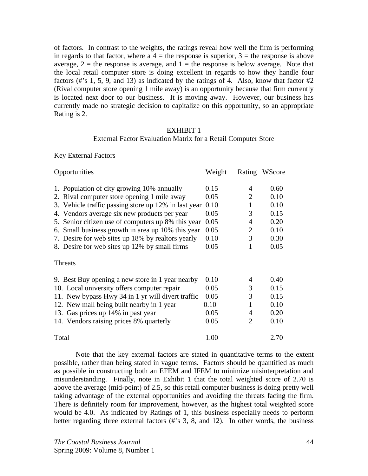of factors. In contrast to the weights, the ratings reveal how well the firm is performing in regards to that factor, where a  $4 =$  the response is superior,  $3 =$  the response is above average,  $2 =$  the response is average, and  $1 =$  the response is below average. Note that the local retail computer store is doing excellent in regards to how they handle four factors (#'s 1, 5, 9, and 13) as indicated by the ratings of 4. Also, know that factor #2 (Rival computer store opening 1 mile away) is an opportunity because that firm currently is located next door to our business. It is moving away. However, our business has currently made no strategic decision to capitalize on this opportunity, so an appropriate Rating is 2.

## EXHIBIT 1

## External Factor Evaluation Matrix for a Retail Computer Store

Key External Factors

| Opportunities                                        | Weight |                | Rating WScore |
|------------------------------------------------------|--------|----------------|---------------|
| 1. Population of city growing 10% annually           | 0.15   | 4              | 0.60          |
| 2. Rival computer store opening 1 mile away          | 0.05   | 2              | 0.10          |
| 3. Vehicle traffic passing store up 12% in last year | 0.10   | 1              | 0.10          |
| 4. Vendors average six new products per year         | 0.05   | 3              | 0.15          |
| 5. Senior citizen use of computers up 8% this year   | 0.05   | 4              | 0.20          |
| 6. Small business growth in area up 10% this year    | 0.05   | $\overline{2}$ | 0.10          |
| 7. Desire for web sites up 18% by realtors yearly    | 0.10   | 3              | 0.30          |
| 8. Desire for web sites up 12% by small firms        | 0.05   |                | 0.05          |
| <b>Threats</b>                                       |        |                |               |
| 9. Best Buy opening a new store in 1 year nearby     | 0.10   | 4              | 0.40          |
| 10. Local university offers computer repair          | 0.05   | 3              | 0.15          |
| 11. New bypass Hwy 34 in 1 yr will divert traffic    | 0.05   | 3              | 0.15          |
| 12. New mall being built nearby in 1 year            | 0.10   | 1              | 0.10          |
| 13. Gas prices up 14% in past year                   | 0.05   | 4              | 0.20          |
| 14. Vendors raising prices 8% quarterly              | 0.05   | 2              | 0.10          |
| Total                                                | 1.00   |                | 2.70          |

 Note that the key external factors are stated in quantitative terms to the extent possible, rather than being stated in vague terms. Factors should be quantified as much as possible in constructing both an EFEM and IFEM to minimize misinterpretation and misunderstanding. Finally, note in Exhibit 1 that the total weighted score of 2.70 is above the average (mid-point) of 2.5, so this retail computer business is doing pretty well taking advantage of the external opportunities and avoiding the threats facing the firm. There is definitely room for improvement, however, as the highest total weighted score would be 4.0. As indicated by Ratings of 1, this business especially needs to perform better regarding three external factors (#'s 3, 8, and 12). In other words, the business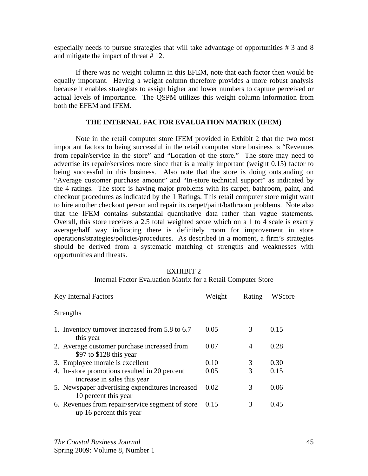especially needs to pursue strategies that will take advantage of opportunities # 3 and 8 and mitigate the impact of threat # 12.

 If there was no weight column in this EFEM, note that each factor then would be equally important. Having a weight column therefore provides a more robust analysis because it enables strategists to assign higher and lower numbers to capture perceived or actual levels of importance. The QSPM utilizes this weight column information from both the EFEM and IFEM.

## **THE INTERNAL FACTOR EVALUATION MATRIX (IFEM)**

 Note in the retail computer store IFEM provided in Exhibit 2 that the two most important factors to being successful in the retail computer store business is "Revenues from repair/service in the store" and "Location of the store." The store may need to advertise its repair/services more since that is a really important (weight 0.15) factor to being successful in this business. Also note that the store is doing outstanding on "Average customer purchase amount" and "In-store technical support" as indicated by the 4 ratings. The store is having major problems with its carpet, bathroom, paint, and checkout procedures as indicated by the 1 Ratings. This retail computer store might want to hire another checkout person and repair its carpet/paint/bathroom problems. Note also that the IFEM contains substantial quantitative data rather than vague statements. Overall, this store receives a 2.5 total weighted score which on a 1 to 4 scale is exactly average/half way indicating there is definitely room for improvement in store operations/strategies/policies/procedures. As described in a moment, a firm's strategies should be derived from a systematic matching of strengths and weaknesses with opportunities and threats.

# EXHIBIT 2

### Internal Factor Evaluation Matrix for a Retail Computer Store

| <b>Key Internal Factors</b>                                                  | Weight | Rating | WScore |
|------------------------------------------------------------------------------|--------|--------|--------|
| Strengths                                                                    |        |        |        |
| 1. Inventory turnover increased from 5.8 to 6.7<br>this year                 | 0.05   | 3      | 0.15   |
| 2. Average customer purchase increased from<br>\$97 to $$128$ this year      | 0.07   | 4      | 0.28   |
| 3. Employee morale is excellent                                              | 0.10   | 3      | 0.30   |
| 4. In-store promotions resulted in 20 percent<br>increase in sales this year | 0.05   | 3      | 0.15   |
| 5. Newspaper advertising expenditures increased<br>10 percent this year      | 0.02   | 3      | 0.06   |
| 6. Revenues from repair/service segment of store<br>up 16 percent this year  | 0.15   | 3      | 0.45   |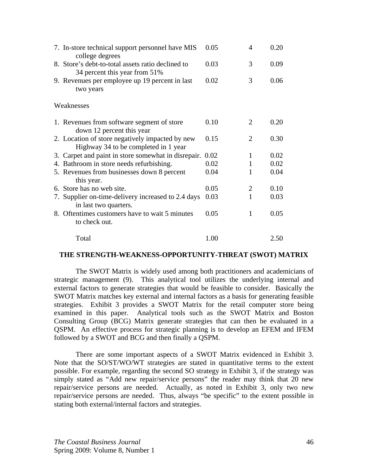| 7. In-store technical support personnel have MIS<br>college degrees                     | 0.05 | 4 | 0.20 |
|-----------------------------------------------------------------------------------------|------|---|------|
| 8. Store's debt-to-total assets ratio declined to<br>34 percent this year from 51%      | 0.03 | 3 | 0.09 |
| 9. Revenues per employee up 19 percent in last<br>two years                             | 0.02 | 3 | 0.06 |
| Weaknesses                                                                              |      |   |      |
| 1. Revenues from software segment of store<br>down 12 percent this year                 | 0.10 | 2 | 0.20 |
| 2. Location of store negatively impacted by new<br>Highway 34 to be completed in 1 year | 0.15 | 2 | 0.30 |
| 3. Carpet and paint in store somewhat in disrepair.                                     | 0.02 | 1 | 0.02 |
| 4. Bathroom in store needs refurbishing.                                                | 0.02 | 1 | 0.02 |
| 5. Revenues from businesses down 8 percent<br>this year.                                | 0.04 | 1 | 0.04 |
| 6. Store has no web site.                                                               | 0.05 | 2 | 0.10 |
| 7. Supplier on-time-delivery increased to 2.4 days<br>in last two quarters.             | 0.03 | 1 | 0.03 |
| 8. Oftentimes customers have to wait 5 minutes<br>to check out.                         | 0.05 | 1 | 0.05 |
| Total                                                                                   | 1.00 |   | 2.50 |

## **THE STRENGTH-WEAKNESS-OPPORTUNITY-THREAT (SWOT) MATRIX**

 The SWOT Matrix is widely used among both practitioners and academicians of strategic management (9). This analytical tool utilizes the underlying internal and external factors to generate strategies that would be feasible to consider. Basically the SWOT Matrix matches key external and internal factors as a basis for generating feasible strategies. Exhibit 3 provides a SWOT Matrix for the retail computer store being examined in this paper. Analytical tools such as the SWOT Matrix and Boston Consulting Group (BCG) Matrix generate strategies that can then be evaluated in a QSPM. An effective process for strategic planning is to develop an EFEM and IFEM followed by a SWOT and BCG and then finally a QSPM.

 There are some important aspects of a SWOT Matrix evidenced in Exhibit 3. Note that the SO/ST/WO/WT strategies are stated in quantitative terms to the extent possible. For example, regarding the second SO strategy in Exhibit 3, if the strategy was simply stated as "Add new repair/service persons" the reader may think that 20 new repair/service persons are needed. Actually, as noted in Exhibit 3, only two new repair/service persons are needed. Thus, always "be specific" to the extent possible in stating both external/internal factors and strategies.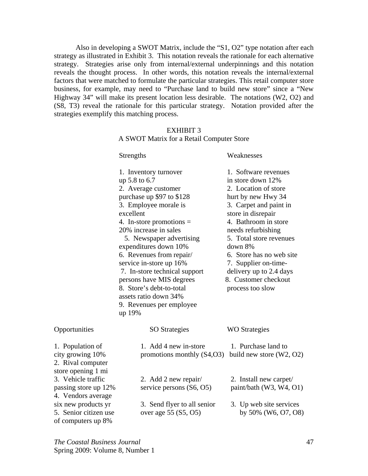Also in developing a SWOT Matrix, include the "S1, O2" type notation after each strategy as illustrated in Exhibit 3. This notation reveals the rationale for each alternative strategy. Strategies arise only from internal/external underpinnings and this notation reveals the thought process. In other words, this notation reveals the internal/external factors that were matched to formulate the particular strategies. This retail computer store business, for example, may need to "Purchase land to build new store" since a "New Highway 34" will make its present location less desirable. The notations (W2, O2) and (S8, T3) reveal the rationale for this particular strategy. Notation provided after the strategies exemplify this matching process.

## EXHIBIT 3 A SWOT Matrix for a Retail Computer Store

|                                                                                 | Strengths                                                                                                                                                                                                                                                                                                                                                                                                                                                   | Weaknesses                                                                                                                                                                                                                                                                                                                                             |  |  |
|---------------------------------------------------------------------------------|-------------------------------------------------------------------------------------------------------------------------------------------------------------------------------------------------------------------------------------------------------------------------------------------------------------------------------------------------------------------------------------------------------------------------------------------------------------|--------------------------------------------------------------------------------------------------------------------------------------------------------------------------------------------------------------------------------------------------------------------------------------------------------------------------------------------------------|--|--|
|                                                                                 | 1. Inventory turnover<br>up 5.8 to 6.7<br>2. Average customer<br>purchase up \$97 to \$128<br>3. Employee morale is<br>excellent<br>4. In-store promotions $=$<br>20% increase in sales<br>5. Newspaper advertising<br>expenditures down 10%<br>6. Revenues from repair/<br>service in-store up 16%<br>7. In-store technical support<br>persons have MIS degrees<br>8. Store's debt-to-total<br>assets ratio down 34%<br>9. Revenues per employee<br>up 19% | 1. Software revenues<br>in store down 12%<br>2. Location of store<br>hurt by new Hwy 34<br>3. Carpet and paint in<br>store in disrepair<br>4. Bathroom in store<br>needs refurbishing<br>5. Total store revenues<br>down 8%<br>6. Store has no web site<br>7. Supplier on-time-<br>delivery up to 2.4 days<br>8. Customer checkout<br>process too slow |  |  |
| Opportunities                                                                   | <b>SO</b> Strategies                                                                                                                                                                                                                                                                                                                                                                                                                                        | <b>WO</b> Strategies                                                                                                                                                                                                                                                                                                                                   |  |  |
| 1. Population of<br>city growing 10%<br>2. Rival computer<br>store opening 1 mi | 1. Add 4 new in-store<br>promotions monthly $(S4, O3)$                                                                                                                                                                                                                                                                                                                                                                                                      | 1. Purchase land to<br>build new store (W2, O2)                                                                                                                                                                                                                                                                                                        |  |  |
| 3. Vehicle traffic<br>passing store up 12%<br>4. Vendors average                | 2. Add 2 new repair/<br>service persons $(S6, 05)$                                                                                                                                                                                                                                                                                                                                                                                                          | 2. Install new carpet/<br>paint/bath (W3, W4, O1)                                                                                                                                                                                                                                                                                                      |  |  |
| six new products yr<br>5. Senior citizen use<br>of computers up 8%              | 3. Send flyer to all senior<br>over age 55 (S5, O5)                                                                                                                                                                                                                                                                                                                                                                                                         | 3. Up web site services<br>by $50\%$ (W6, O7, O8)                                                                                                                                                                                                                                                                                                      |  |  |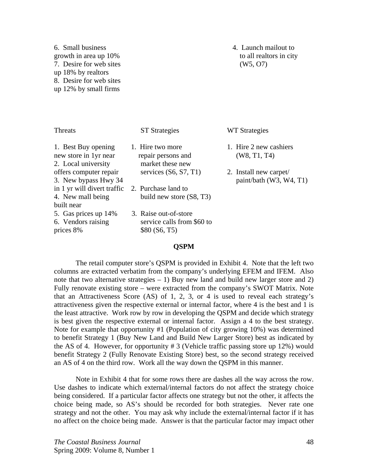6. Small business 4. Launch mailout to growth in area up 10% to all realtors in city 7. Desire for web sites (W5, O7) up 18% by realtors 8. Desire for web sites up 12% by small firms

| <b>Threats</b>                                                      | <b>ST</b> Strategies                                                 | WT Strategies                                       |
|---------------------------------------------------------------------|----------------------------------------------------------------------|-----------------------------------------------------|
| 1. Best Buy opening<br>new store in 1yr near<br>2. Local university | 1. Hire two more<br>repair persons and<br>market these new           | 1. Hire 2 new cashiers<br>(W8, T1, T4)              |
| offers computer repair<br>3. New bypass Hwy 34                      | services $(S6, S7, T1)$                                              | 2. Install new carpet/<br>paint/bath $(W3, W4, T1)$ |
| in 1 yr will divert traffic<br>4. New mall being                    | 2. Purchase land to<br>build new store (S8, T3)                      |                                                     |
| built near                                                          |                                                                      |                                                     |
| 5. Gas prices up 14%<br>6. Vendors raising<br>prices 8%             | 3. Raise out-of-store<br>service calls from \$60 to<br>\$80 (S6, T5) |                                                     |

## **QSPM**

 The retail computer store's QSPM is provided in Exhibit 4. Note that the left two columns are extracted verbatim from the company's underlying EFEM and IFEM. Also note that two alternative strategies  $-1$ ) Buy new land and build new larger store and 2) Fully renovate existing store – were extracted from the company's SWOT Matrix. Note that an Attractiveness Score (AS) of 1, 2, 3, or 4 is used to reveal each strategy's attractiveness given the respective external or internal factor, where 4 is the best and 1 is the least attractive. Work row by row in developing the QSPM and decide which strategy is best given the respective external or internal factor. Assign a 4 to the best strategy. Note for example that opportunity #1 (Population of city growing 10%) was determined to benefit Strategy 1 (Buy New Land and Build New Larger Store) best as indicated by the AS of 4. However, for opportunity # 3 (Vehicle traffic passing store up 12%) would benefit Strategy 2 (Fully Renovate Existing Store) best, so the second strategy received an AS of 4 on the third row. Work all the way down the QSPM in this manner.

 Note in Exhibit 4 that for some rows there are dashes all the way across the row. Use dashes to indicate which external/internal factors do not affect the strategy choice being considered. If a particular factor affects one strategy but not the other, it affects the choice being made, so AS's should be recorded for both strategies. Never rate one strategy and not the other. You may ask why include the external/internal factor if it has no affect on the choice being made. Answer is that the particular factor may impact other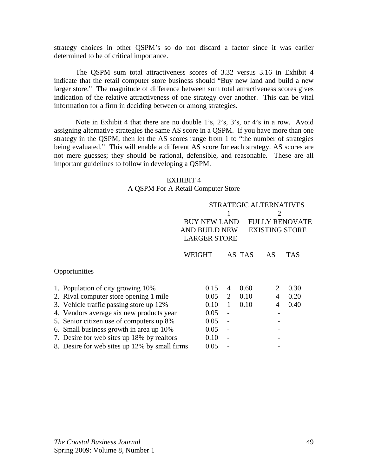strategy choices in other QSPM's so do not discard a factor since it was earlier determined to be of critical importance.

 The QSPM sum total attractiveness scores of 3.32 versus 3.16 in Exhibit 4 indicate that the retail computer store business should "Buy new land and build a new larger store." The magnitude of difference between sum total attractiveness scores gives indication of the relative attractiveness of one strategy over another. This can be vital information for a firm in deciding between or among strategies.

 Note in Exhibit 4 that there are no double 1's, 2's, 3's, or 4's in a row. Avoid assigning alternative strategies the same AS score in a QSPM. If you have more than one strategy in the QSPM, then let the AS scores range from 1 to "the number of strategies being evaluated." This will enable a different AS score for each strategy. AS scores are not mere guesses; they should be rational, defensible, and reasonable. These are all important guidelines to follow in developing a QSPM.

## EXHIBIT 4

## A QSPM For A Retail Computer Store

|                                               |        | <b>STRATEGIC ALTERNATIVES</b>                                                                                             |        |    |            |
|-----------------------------------------------|--------|---------------------------------------------------------------------------------------------------------------------------|--------|----|------------|
|                                               |        | 2<br><b>BUY NEW LAND</b><br><b>FULLY RENOVATE</b><br><b>AND BUILD NEW</b><br><b>EXISTING STORE</b><br><b>LARGER STORE</b> |        |    |            |
|                                               | WEIGHT |                                                                                                                           | AS TAS | AS | <b>TAS</b> |
| Opportunities                                 |        |                                                                                                                           |        |    |            |
| 1. Population of city growing 10%             | 0.15   | 4                                                                                                                         | 0.60   | 2  | 0.30       |
| 2. Rival computer store opening 1 mile        | 0.05   | 2                                                                                                                         | 0.10   | 4  | 0.20       |
| 3. Vehicle traffic passing store up 12%       | 0.10   | 1                                                                                                                         | 0.10   | 4  | 0.40       |
| 4. Vendors average six new products year      | 0.05   | $\overline{a}$                                                                                                            |        |    |            |
| 5. Senior citizen use of computers up 8%      | 0.05   |                                                                                                                           |        |    |            |
| 6. Small business growth in area up 10%       | 0.05   |                                                                                                                           |        |    |            |
| 7. Desire for web sites up 18% by realtors    | 0.10   |                                                                                                                           |        |    |            |
| 8. Desire for web sites up 12% by small firms | 0.05   |                                                                                                                           |        |    |            |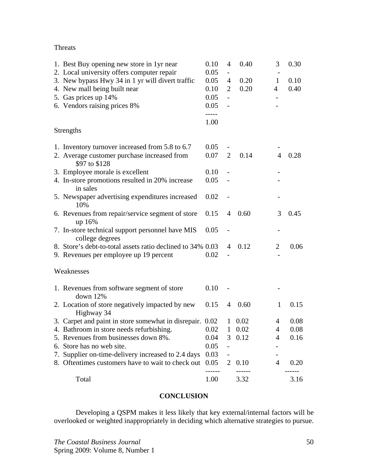Threats

| 1. Best Buy opening new store in 1yr near                           | 0.10  | 4              | 0.40   | 3              | 0.30 |
|---------------------------------------------------------------------|-------|----------------|--------|----------------|------|
| 2. Local university offers computer repair                          | 0.05  | -              |        |                |      |
| 3. New bypass Hwy 34 in 1 yr will divert traffic                    | 0.05  | 4              | 0.20   | $\mathbf{1}$   | 0.10 |
| 4. New mall being built near                                        | 0.10  | $\overline{2}$ | 0.20   | 4              | 0.40 |
| 5. Gas prices up 14%                                                | 0.05  |                |        |                |      |
| 6. Vendors raising prices 8%                                        | 0.05  |                |        |                |      |
|                                                                     | ----- |                |        |                |      |
|                                                                     | 1.00  |                |        |                |      |
| <b>Strengths</b>                                                    |       |                |        |                |      |
| 1. Inventory turnover increased from 5.8 to 6.7                     | 0.05  |                |        |                |      |
| 2. Average customer purchase increased from<br>\$97 to \$128        | 0.07  | $\overline{2}$ | 0.14   | 4              | 0.28 |
| 3. Employee morale is excellent                                     | 0.10  |                |        |                |      |
| 4. In-store promotions resulted in 20% increase                     | 0.05  |                |        |                |      |
| in sales                                                            |       |                |        |                |      |
| 5. Newspaper advertising expenditures increased<br>10%              | 0.02  |                |        |                |      |
| 6. Revenues from repair/service segment of store                    | 0.15  | 4              | 0.60   | 3              | 0.45 |
| up 16%                                                              |       |                |        |                |      |
| 7. In-store technical support personnel have MIS<br>college degrees | 0.05  |                |        |                |      |
| 8. Store's debt-to-total assets ratio declined to 34% 0.03          |       | 4              | 0.12   | $\overline{2}$ | 0.06 |
| 9. Revenues per employee up 19 percent                              | 0.02  |                |        |                |      |
| Weaknesses                                                          |       |                |        |                |      |
| 1. Revenues from software segment of store                          | 0.10  |                |        |                |      |
| down $12%$                                                          |       |                |        |                |      |
| 2. Location of store negatively impacted by new<br>Highway 34       | 0.15  | $\overline{4}$ | 0.60   | 1              | 0.15 |
| 3. Carpet and paint in store somewhat in disrepair. 0.02            |       |                | 1 0.02 | 4              | 0.08 |
| 4. Bathroom in store needs refurbishing.                            | 0.02  | $\mathbf{1}$   | 0.02   | $\overline{4}$ | 0.08 |
| 5. Revenues from businesses down 8%.                                | 0.04  | 3              | 0.12   | 4              | 0.16 |
| 6. Store has no web site.                                           | 0.05  |                |        |                |      |
| 7. Supplier on-time-delivery increased to 2.4 days                  | 0.03  |                |        |                |      |
| 8. Oftentimes customers have to wait to check out                   | 0.05  | 2              | 0.10   | $\overline{4}$ | 0.20 |
| Total                                                               | 1.00  |                | 3.32   |                | 3.16 |

## **CONCLUSION**

 Developing a QSPM makes it less likely that key external/internal factors will be overlooked or weighted inappropriately in deciding which alternative strategies to pursue.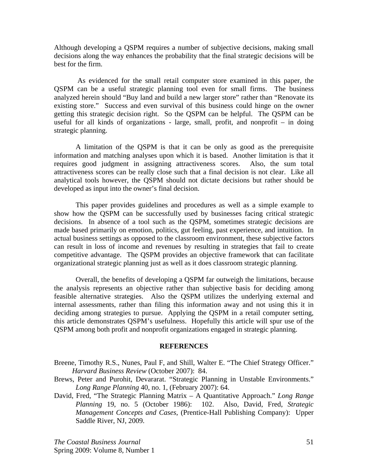Although developing a QSPM requires a number of subjective decisions, making small decisions along the way enhances the probability that the final strategic decisions will be best for the firm.

 As evidenced for the small retail computer store examined in this paper, the QSPM can be a useful strategic planning tool even for small firms. The business analyzed herein should "Buy land and build a new larger store" rather than "Renovate its existing store." Success and even survival of this business could hinge on the owner getting this strategic decision right. So the QSPM can be helpful. The QSPM can be useful for all kinds of organizations - large, small, profit, and nonprofit  $-$  in doing strategic planning.

 A limitation of the QSPM is that it can be only as good as the prerequisite information and matching analyses upon which it is based. Another limitation is that it requires good judgment in assigning attractiveness scores. Also, the sum total attractiveness scores can be really close such that a final decision is not clear. Like all analytical tools however, the QSPM should not dictate decisions but rather should be developed as input into the owner's final decision.

 This paper provides guidelines and procedures as well as a simple example to show how the QSPM can be successfully used by businesses facing critical strategic decisions. In absence of a tool such as the QSPM, sometimes strategic decisions are made based primarily on emotion, politics, gut feeling, past experience, and intuition. In actual business settings as opposed to the classroom environment, these subjective factors can result in loss of income and revenues by resulting in strategies that fail to create competitive advantage. The QSPM provides an objective framework that can facilitate organizational strategic planning just as well as it does classroom strategic planning.

 Overall, the benefits of developing a QSPM far outweigh the limitations, because the analysis represents an objective rather than subjective basis for deciding among feasible alternative strategies. Also the QSPM utilizes the underlying external and internal assessments, rather than filing this information away and not using this it in deciding among strategies to pursue. Applying the QSPM in a retail computer setting, this article demonstrates QSPM's usefulness. Hopefully this article will spur use of the QSPM among both profit and nonprofit organizations engaged in strategic planning.

#### **REFERENCES**

- Breene, Timothy R.S., Nunes, Paul F, and Shill, Walter E. "The Chief Strategy Officer." *Harvard Business Review* (October 2007): 84.
- Brews, Peter and Purohit, Devararat. "Strategic Planning in Unstable Environments." *Long Range Planning* 40, no. 1, (February 2007): 64.
- David, Fred, "The Strategic Planning Matrix A Quantitative Approach." *Long Range Planning* 19, no. 5 (October 1986): 102. Also, David, Fred, *Strategic Management Concepts and Cases*, (Prentice-Hall Publishing Company): Upper Saddle River, NJ, 2009.

*The Coastal Business Journal*  Spring 2009: Volume 8, Number 1